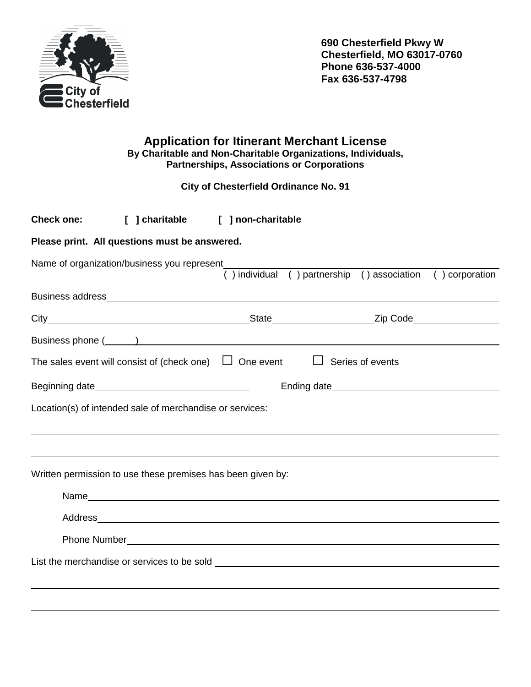

**690 Chesterfield Pkwy W Chesterfield, MO 63017-0760 Phone 636-537-4000 Fax 636-537-4798** 

## **Application for Itinerant Merchant License By Charitable and Non-Charitable Organizations, Individuals, Partnerships, Associations or Corporations**

 **City of Chesterfield Ordinance No. 91** 

| <b>Check one:</b>                                           | [ ] charitable [ ] non-charitable                                                                                                                                                                                              |  |                                                            |  |  |  |
|-------------------------------------------------------------|--------------------------------------------------------------------------------------------------------------------------------------------------------------------------------------------------------------------------------|--|------------------------------------------------------------|--|--|--|
| Please print. All questions must be answered.               |                                                                                                                                                                                                                                |  |                                                            |  |  |  |
|                                                             | Name of organization/business you represent                                                                                                                                                                                    |  | () individual () partnership () association () corporation |  |  |  |
|                                                             |                                                                                                                                                                                                                                |  |                                                            |  |  |  |
|                                                             |                                                                                                                                                                                                                                |  |                                                            |  |  |  |
|                                                             | Business phone (Section 2018) and the second section of the second section of the second section of the second section of the second section of the second section of the second section of the second section of the second s |  |                                                            |  |  |  |
|                                                             | The sales event will consist of (check one) $\Box$ One event $\Box$ Series of events                                                                                                                                           |  |                                                            |  |  |  |
|                                                             |                                                                                                                                                                                                                                |  |                                                            |  |  |  |
| Location(s) of intended sale of merchandise or services:    |                                                                                                                                                                                                                                |  |                                                            |  |  |  |
|                                                             |                                                                                                                                                                                                                                |  |                                                            |  |  |  |
| Written permission to use these premises has been given by: |                                                                                                                                                                                                                                |  |                                                            |  |  |  |
|                                                             |                                                                                                                                                                                                                                |  |                                                            |  |  |  |
|                                                             |                                                                                                                                                                                                                                |  |                                                            |  |  |  |
|                                                             |                                                                                                                                                                                                                                |  |                                                            |  |  |  |
|                                                             |                                                                                                                                                                                                                                |  |                                                            |  |  |  |
|                                                             |                                                                                                                                                                                                                                |  |                                                            |  |  |  |
|                                                             |                                                                                                                                                                                                                                |  |                                                            |  |  |  |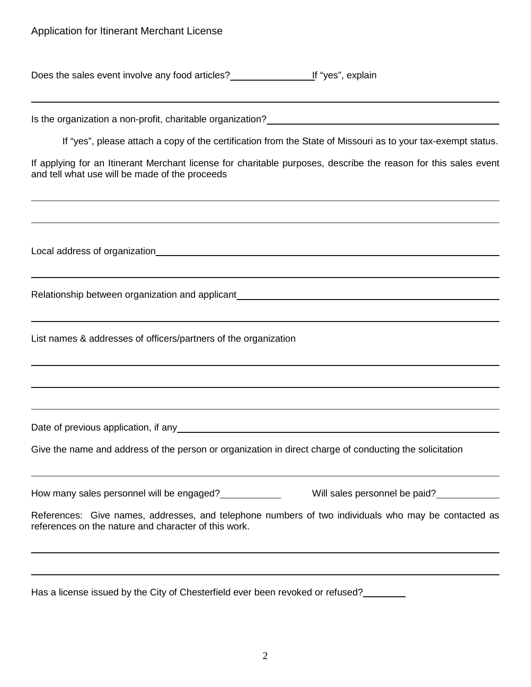| Does the sales event involve any food articles? | <u>I</u> f "yes", explain |
|-------------------------------------------------|---------------------------|
|-------------------------------------------------|---------------------------|

L Is the organization a non-profit, charitable organization? If "yes", please attach a copy of the certification from the State of Missouri as to your tax-exempt status. If applying for an Itinerant Merchant license for charitable purposes, describe the reason for this sales event and tell what use will be made of the proceeds  $\overline{a}$ Local address of organization **Exercise 2018 Constant Constant Constant Constant Constant Constant Constant Constant Constant Constant Constant Constant Constant Constant Constant Constant Constant Constant Constant Cons**  $\overline{a}$ Relationship between organization and applicant<br>
<u>Examples</u> 2021<br>
2022<br>
2022<br>
2023<br>
2023<br>
2023<br>
2023<br>
2023<br>
2023<br>
2023<br>
2023<br>
2023<br>
2023<br>
2023<br>
2023<br>
2023<br>
2023<br>
2023<br>
2024<br>
2023<br>
2024<br>
2024<br>
2024<br>
2024<br>
2025  $\overline{a}$ List names & addresses of officers/partners of the organization  $\overline{a}$ Date of previous application, if any example of the state of previous control of the state of the state of the state of the state of the state of the state of the state of the state of the state of the state of the state o Give the name and address of the person or organization in direct charge of conducting the solicitation  $\overline{a}$ How many sales personnel will be engaged?<br>
Will sales personnel be paid?
<br>
Mill sales personnel be paid?

Will sales personnel be paid?

Will sales personnel be paid?

Will sales personnel be paid?

Will sales personnel be References: Give names, addresses, and telephone numbers of two individuals who may be contacted as references on the nature and character of this work.  $\overline{a}$ 

Has a license issued by the City of Chesterfield ever been revoked or refused?